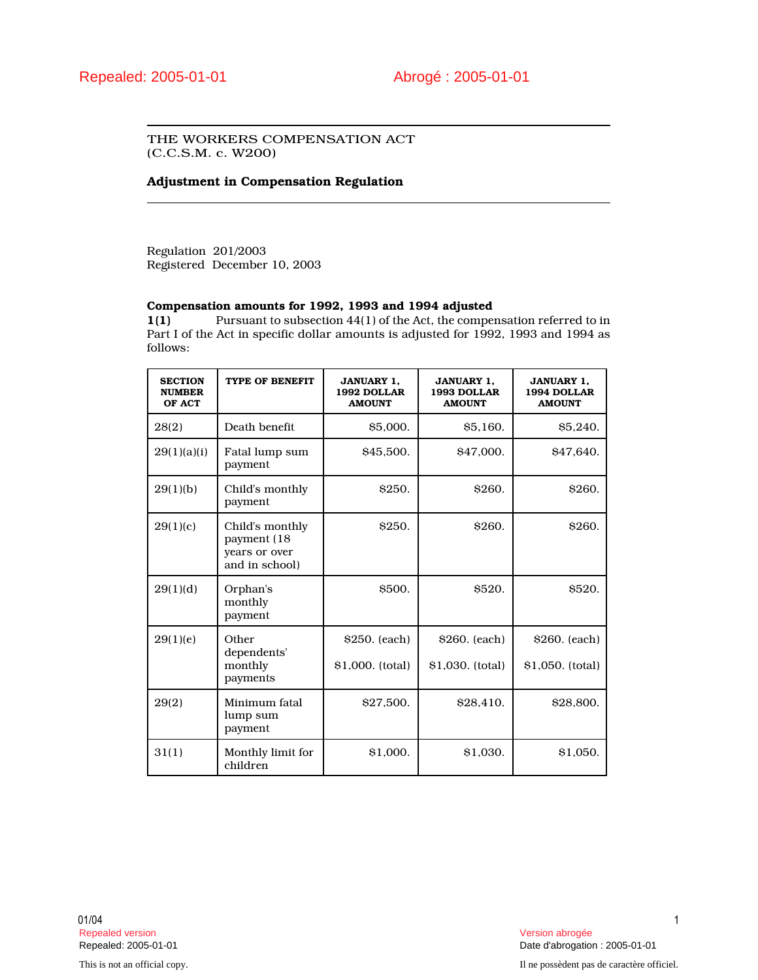## THE WORKERS COMPENSATION ACT (C.C.S.M. c. W200)

## **Adjustment in Compensation Regulation**

Regulation 201/2003 Registered December 10, 2003

## **Compensation amounts for 1992, 1993 and 1994 adjusted**

**1(1)** Pursuant to subsection 44(1) of the Act, the compensation referred to in Part I of the Act in specific dollar amounts is adjusted for 1992, 1993 and 1994 as follows:

| <b>SECTION</b><br><b>NUMBER</b><br>OF ACT | <b>TYPE OF BENEFIT</b>                                             | <b>JANUARY 1,</b><br>1992 DOLLAR<br><b>AMOUNT</b> | <b>JANUARY 1,</b><br>1993 DOLLAR<br><b>AMOUNT</b> | <b>JANUARY 1,</b><br>1994 DOLLAR<br><b>AMOUNT</b> |
|-------------------------------------------|--------------------------------------------------------------------|---------------------------------------------------|---------------------------------------------------|---------------------------------------------------|
| 28(2)                                     | Death benefit                                                      | \$5,000.                                          | <b>S5.160.</b>                                    | \$5,240.                                          |
| 29(1)(a)(i)                               | Fatal lump sum<br>payment                                          | \$45,500.                                         | \$47,000.                                         | S <sub>47.640</sub> .                             |
| 29(1)(b)                                  | Child's monthly<br>payment                                         | <b>S250.</b>                                      | <b>S260.</b>                                      | <b>\$260.</b>                                     |
| 29(1)(c)                                  | Child's monthly<br>payment (18)<br>years or over<br>and in school) | <b>\$250.</b>                                     | <b>S260.</b>                                      | <b>\$260.</b>                                     |
| 29(1)(d)                                  | Orphan's<br>monthly<br>payment                                     | \$500.                                            | <b>S520.</b>                                      | <b>\$520.</b>                                     |
| 29(1)(e)                                  | Other<br>dependents'                                               | \$250. (each)                                     | \$260. (each)                                     | \$260. (each)                                     |
|                                           | monthly<br>payments                                                | \$1,000. (total)                                  | \$1,030. (total)                                  | \$1,050. (total)                                  |
| 29(2)                                     | Minimum fatal<br>lump sum<br>payment                               | \$27,500.                                         | \$28,410.                                         | \$28,800.                                         |
| 31(1)                                     | Monthly limit for<br>children                                      | \$1,000.                                          | \$1,030.                                          | \$1,050.                                          |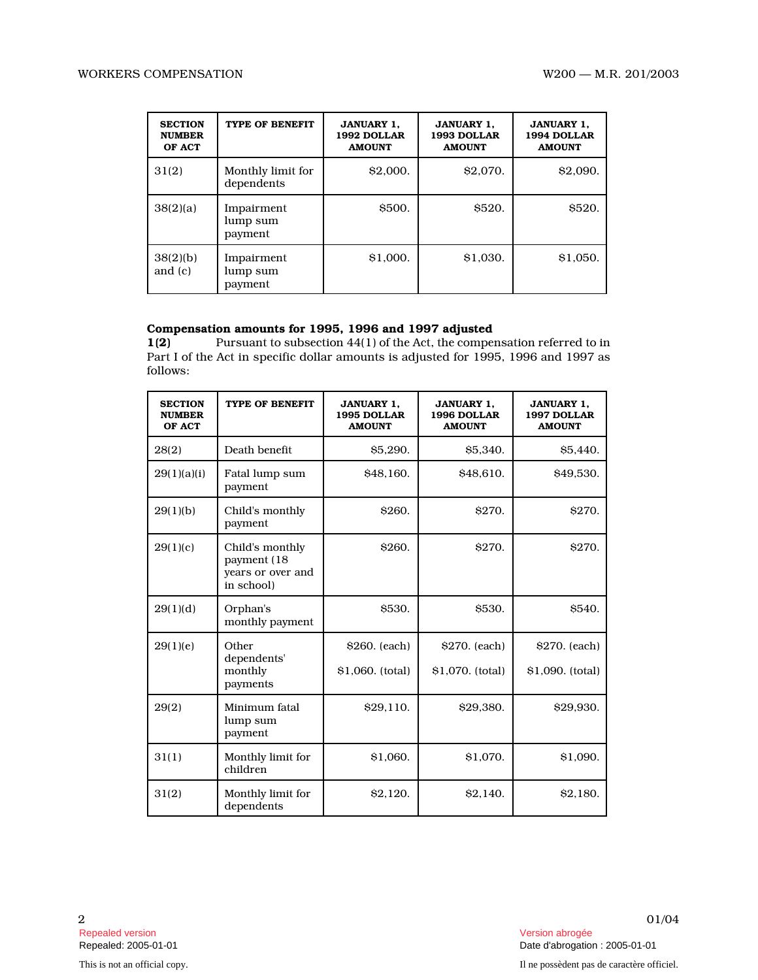| <b>SECTION</b><br><b>NUMBER</b><br>OF ACT | TYPE OF BENEFIT                   | <b>JANUARY 1.</b><br>1992 DOLLAR<br><b>AMOUNT</b> | <b>JANUARY 1.</b><br>1993 DOLLAR<br><b>AMOUNT</b> | <b>JANUARY 1.</b><br>1994 DOLLAR<br><b>AMOUNT</b> |
|-------------------------------------------|-----------------------------------|---------------------------------------------------|---------------------------------------------------|---------------------------------------------------|
| 31(2)                                     | Monthly limit for<br>dependents   | \$2,000.                                          | \$2,070.                                          | \$2,090.                                          |
| 38(2)(a)                                  | Impairment<br>lump sum<br>payment | <b>\$500.</b>                                     | \$520.                                            | <b>\$520.</b>                                     |
| 38(2)(b)<br>and $(c)$                     | Impairment<br>lump sum<br>payment | \$1,000.                                          | \$1,030.                                          | \$1,050.                                          |

## **Compensation amounts for 1995, 1996 and 1997 adjusted**

**1(2)** Pursuant to subsection 44(1) of the Act, the compensation referred to in Part I of the Act in specific dollar amounts is adjusted for 1995, 1996 and 1997 as follows:

| <b>SECTION</b><br><b>NUMBER</b><br>OF ACT | TYPE OF BENEFIT                                                    | <b>JANUARY 1,</b><br>1995 DOLLAR<br><b>AMOUNT</b> | <b>JANUARY 1,</b><br>1996 DOLLAR<br><b>AMOUNT</b> | <b>JANUARY 1,</b><br>1997 DOLLAR<br><b>AMOUNT</b> |
|-------------------------------------------|--------------------------------------------------------------------|---------------------------------------------------|---------------------------------------------------|---------------------------------------------------|
| 28(2)                                     | Death benefit                                                      | <b>S5.290.</b>                                    | \$5,340.                                          | <b>\$5,440.</b>                                   |
| 29(1)(a)(i)                               | Fatal lump sum<br>payment                                          | \$48,160.                                         | \$48,610.                                         | \$49,530.                                         |
| 29(1)(b)                                  | Child's monthly<br>payment                                         | <b>S260.</b>                                      | <b>S270.</b>                                      | <b>\$270.</b>                                     |
| 29(1)(c)                                  | Child's monthly<br>payment (18)<br>years or over and<br>in school) | \$260.                                            | <b>\$270.</b>                                     | \$270.                                            |
| 29(1)(d)                                  | Orphan's<br>monthly payment                                        | <b>\$530.</b>                                     | <b>S530.</b>                                      | \$540.                                            |
| 29(1)(e)                                  | Other                                                              | \$260. (each)                                     | \$270. (each)                                     | \$270. (each)                                     |
|                                           | dependents'<br>monthly<br>payments                                 | \$1,060. (total)                                  | \$1,070. (total)                                  | \$1,090. (total)                                  |
| 29(2)                                     | Minimum fatal<br>lump sum<br>payment                               | \$29,110.                                         | \$29,380.                                         | \$29,930.                                         |
| 31(1)                                     | Monthly limit for<br>children                                      | \$1,060.                                          | \$1,070.                                          | \$1,090.                                          |
| 31(2)                                     | Monthly limit for<br>dependents                                    | <b>S2.120.</b>                                    | <b>S2.140.</b>                                    | S <sub>2.180</sub> .                              |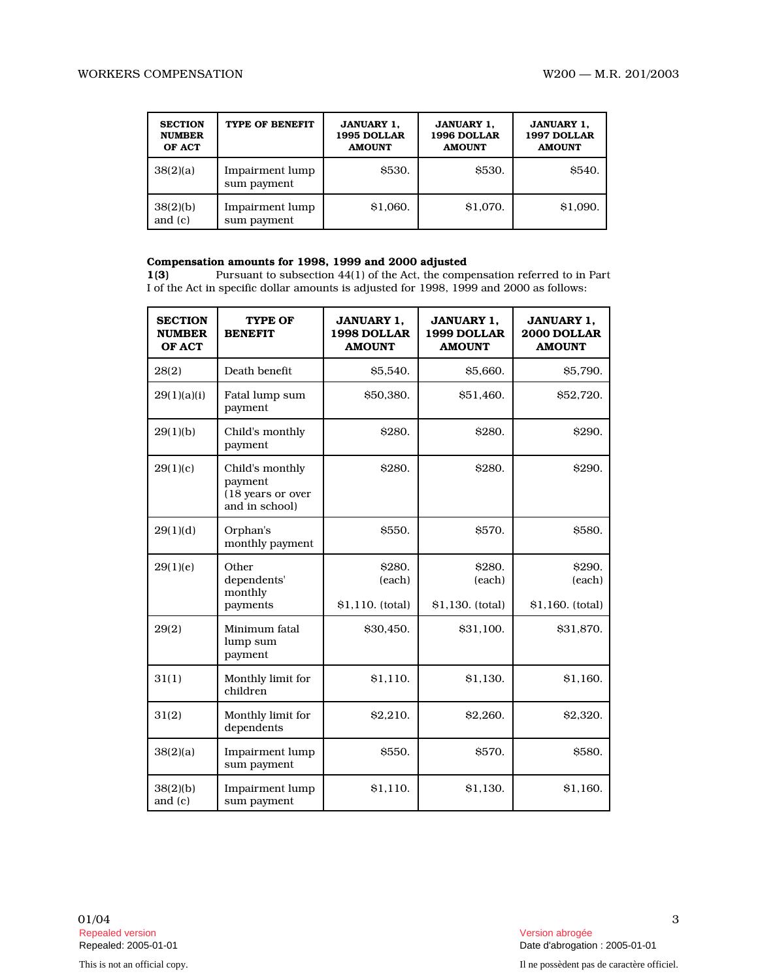| <b>SECTION</b><br><b>NUMBER</b><br>OF ACT | TYPE OF BENEFIT                | <b>JANUARY 1.</b><br>1995 DOLLAR<br><b>AMOUNT</b> | <b>JANUARY 1.</b><br>1996 DOLLAR<br><b>AMOUNT</b> | <b>JANUARY 1.</b><br>1997 DOLLAR<br><b>AMOUNT</b> |
|-------------------------------------------|--------------------------------|---------------------------------------------------|---------------------------------------------------|---------------------------------------------------|
| 38(2)(a)                                  | Impairment lump<br>sum payment | <b>\$530.</b>                                     | <b>\$530.</b>                                     | <b>\$540.</b>                                     |
| 38(2)(b)<br>and $(c)$                     | Impairment lump<br>sum payment | \$1.060.                                          | \$1,070.                                          | \$1,090.                                          |

# **Compensation amounts for 1998, 1999 and 2000 adjusted** 1(3) Pursuant to subsection 44(1) of the Act, the comp

Pursuant to subsection 44(1) of the Act, the compensation referred to in Part I of the Act in specific dollar amounts is adjusted for 1998, 1999 and 2000 as follows:

| <b>SECTION</b><br><b>NUMBER</b><br>OF ACT | TYPE OF<br><b>BENEFIT</b>                                         | <b>JANUARY 1,</b><br>1998 DOLLAR<br><b>AMOUNT</b> | <b>JANUARY 1,</b><br>1999 DOLLAR<br><b>AMOUNT</b> | <b>JANUARY 1.</b><br>2000 DOLLAR<br><b>AMOUNT</b> |
|-------------------------------------------|-------------------------------------------------------------------|---------------------------------------------------|---------------------------------------------------|---------------------------------------------------|
| 28(2)                                     | Death benefit                                                     | \$5,540.                                          | \$5,660.                                          | \$5,790.                                          |
| 29(1)(a)(i)                               | Fatal lump sum<br>payment                                         | \$50,380.                                         | \$51,460.                                         | \$52,720.                                         |
| 29(1)(b)                                  | Child's monthly<br>payment                                        | <b>S280.</b>                                      | <b>S280.</b>                                      | <b>\$290.</b>                                     |
| 29(1)(c)                                  | Child's monthly<br>payment<br>(18 years or over<br>and in school) | \$280.                                            | <b>\$280.</b>                                     | <b>S290.</b>                                      |
| 29(1)(d)                                  | Orphan's<br>monthly payment                                       | <b>\$550.</b>                                     | <b>\$570.</b>                                     | <b>S580.</b>                                      |
| 29(1)(e)                                  | Other<br>dependents'<br>monthly<br>payments                       | <b>S280.</b><br>(each)<br>\$1,110. (total)        | <b>S280.</b><br>(each)<br>\$1,130. (total)        | <b>\$290.</b><br>(each)<br>\$1,160. (total)       |
| 29(2)                                     | Minimum fatal<br>lump sum<br>payment                              | \$30,450.                                         | \$31,100.                                         | \$31,870.                                         |
| 31(1)                                     | Monthly limit for<br>children                                     | \$1,110.                                          | \$1,130.                                          | \$1,160.                                          |
| 31(2)                                     | Monthly limit for<br>dependents                                   | \$2.210.                                          | <b>S2.260.</b>                                    | <b>S2.320.</b>                                    |
| 38(2)(a)                                  | <b>Impairment</b> lump<br>sum payment                             | \$550.                                            | <b>S570.</b>                                      | \$580.                                            |
| 38(2)(b)<br>and $(c)$                     | Impairment lump<br>sum payment                                    | \$1,110.                                          | \$1,130.                                          | \$1,160.                                          |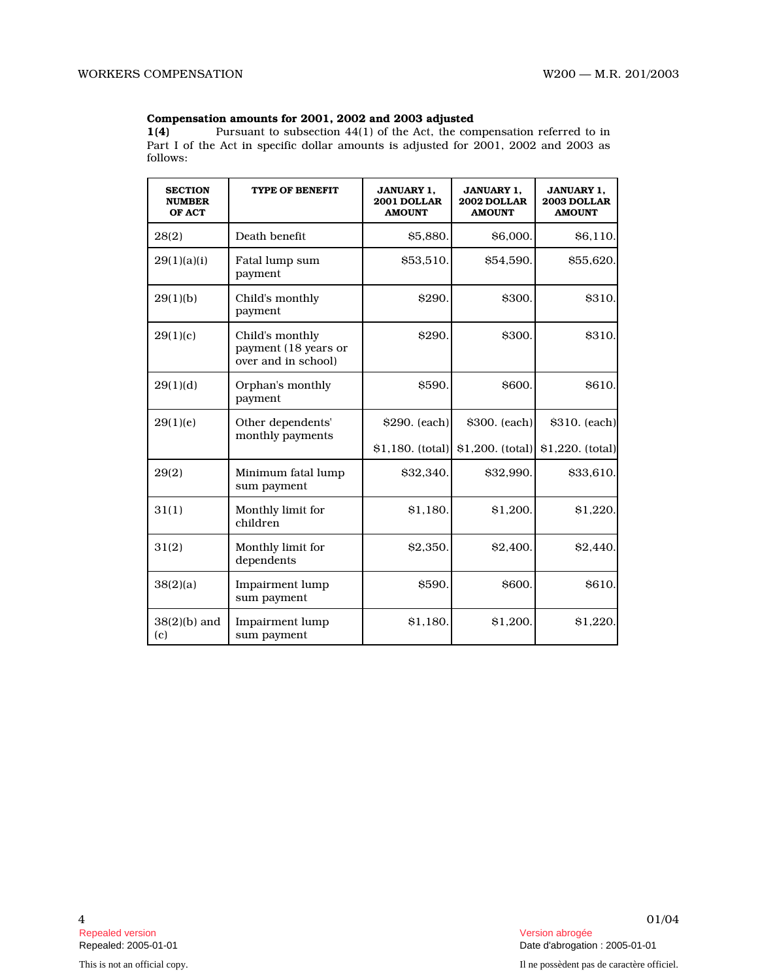# **Compensation amounts for 2001, 2002 and 2003 adjusted** 1(4) Pursuant to subsection 44(1) of the Act, the con

Pursuant to subsection 44(1) of the Act, the compensation referred to in Part I of the Act in specific dollar amounts is adjusted for 2001, 2002 and 2003 as follows:

| <b>SECTION</b><br><b>NUMBER</b><br>OF ACT | <b>TYPE OF BENEFIT</b>                                         | <b>JANUARY 1,</b><br>2001 DOLLAR<br><b>AMOUNT</b> | <b>JANUARY 1.</b><br>2002 DOLLAR<br><b>AMOUNT</b> | <b>JANUARY 1.</b><br>2003 DOLLAR<br><b>AMOUNT</b> |
|-------------------------------------------|----------------------------------------------------------------|---------------------------------------------------|---------------------------------------------------|---------------------------------------------------|
| 28(2)                                     | Death benefit                                                  | \$5,880.                                          | \$6,000.                                          | \$6,110.                                          |
| 29(1)(a)(i)                               | Fatal lump sum<br>payment                                      | \$53,510.                                         | \$54,590.                                         | \$55,620.                                         |
| 29(1)(b)                                  | Child's monthly<br>payment                                     | <b>\$290.</b>                                     | \$300.                                            | \$310.                                            |
| 29(1)(c)                                  | Child's monthly<br>payment (18 years or<br>over and in school) | \$290.                                            | \$300.                                            | \$310.                                            |
| 29(1)(d)                                  | Orphan's monthly<br>payment                                    | \$590.                                            | \$600.                                            | <b>S610.</b>                                      |
| 29(1)(e)                                  | Other dependents'<br>monthly payments                          | \$290. (each)                                     | \$300. (each)                                     | \$310. (each)                                     |
|                                           |                                                                | \$1,180. (total)                                  | \$1,200. (total)                                  | \$1,220. (total)                                  |
| 29(2)                                     | Minimum fatal lump<br>sum payment                              | \$32,340.                                         | \$32,990.                                         | \$33,610.                                         |
| 31(1)                                     | Monthly limit for<br>children                                  | \$1.180.                                          | \$1.200.                                          | \$1.220.                                          |
| 31(2)                                     | Monthly limit for<br>dependents                                | \$2,350.                                          | \$2.400.                                          | \$2,440                                           |
| 38(2)(a)                                  | Impairment lump<br>sum payment                                 | <b>S590.</b>                                      | <b>S600.</b>                                      | S610.                                             |
| $38(2)(b)$ and<br>(c)                     | Impairment lump<br>sum payment                                 | \$1,180.                                          | \$1.200.                                          | \$1,220.                                          |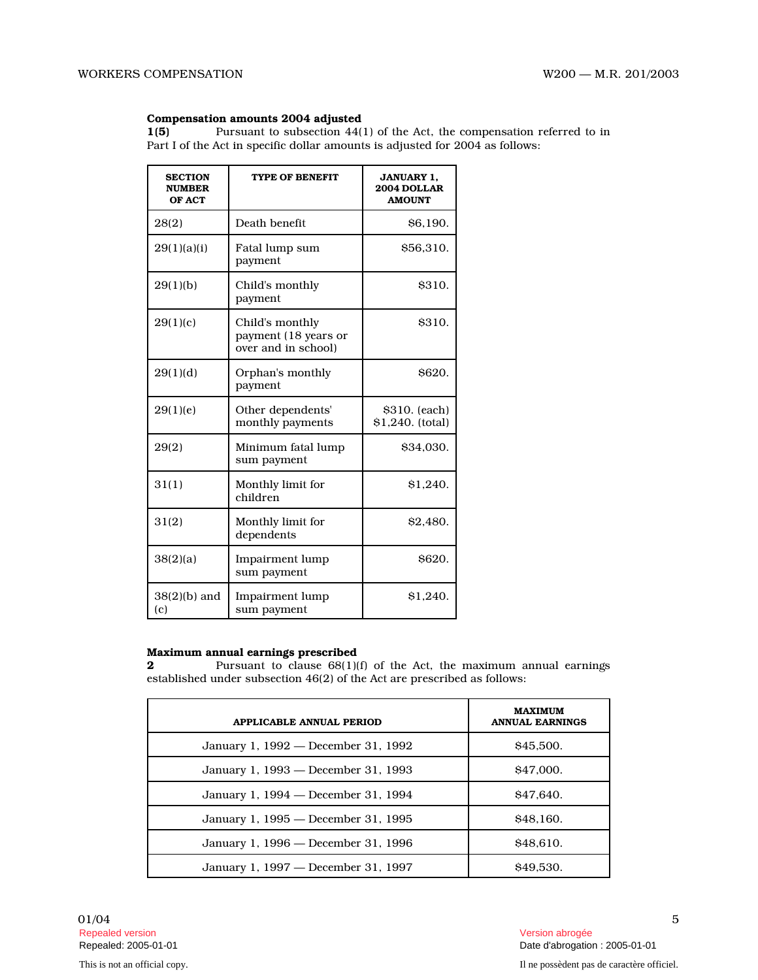#### **Compensation amounts 2004 adjusted**

**1(5)** Pursuant to subsection 44(1) of the Act, the compensation referred to in Part I of the Act in specific dollar amounts is adjusted for 2004 as follows:

| <b>SECTION</b><br><b>NUMBER</b><br>OF ACT | <b>TYPE OF BENEFIT</b>                                         | <b>JANUARY 1.</b><br>2004 DOLLAR<br><b>AMOUNT</b> |
|-------------------------------------------|----------------------------------------------------------------|---------------------------------------------------|
| 28(2)                                     | Death benefit                                                  | <b>\$6,190.</b>                                   |
| 29(1)(a)(i)                               | Fatal lump sum<br>payment                                      | \$56,310.                                         |
| 29(1)(b)                                  | Child's monthly<br>payment                                     | \$310.                                            |
| 29(1)(c)                                  | Child's monthly<br>payment (18 years or<br>over and in school) | \$310.                                            |
| 29(1)(d)                                  | Orphan's monthly<br>payment                                    | \$620.                                            |
| 29(1)(e)                                  | Other dependents'<br>monthly payments                          | \$310. (each)<br>\$1,240. (total)                 |
| 29(2)                                     | Minimum fatal lump<br>sum payment                              | \$34,030.                                         |
| 31(1)                                     | Monthly limit for<br>children                                  | \$1.240.                                          |
| 31(2)                                     | Monthly limit for<br>dependents                                | \$2.480.                                          |
| 38(2)(a)                                  | Impairment lump<br>sum payment                                 | \$620.                                            |
| $38(2)(b)$ and<br>(c)                     | Impairment lump<br>sum payment                                 | \$1,240.                                          |

## **Maximum annual earnings prescribed**

**2** Pursuant to clause 68(1)(f) of the Act, the maximum annual earnings established under subsection 46(2) of the Act are prescribed as follows:

| APPLICABLE ANNUAL PERIOD            | <b>MAXIMUM</b><br><b>ANNUAL EARNINGS</b> |
|-------------------------------------|------------------------------------------|
| January 1, 1992 — December 31, 1992 | \$45,500.                                |
| January 1, 1993 — December 31, 1993 | \$47,000.                                |
| January 1, 1994 - December 31, 1994 | \$47,640.                                |
| January 1, 1995 — December 31, 1995 | \$48.160.                                |
| January 1, 1996 — December 31, 1996 | \$48.610.                                |
| January 1, 1997 — December 31, 1997 | \$49.530.                                |